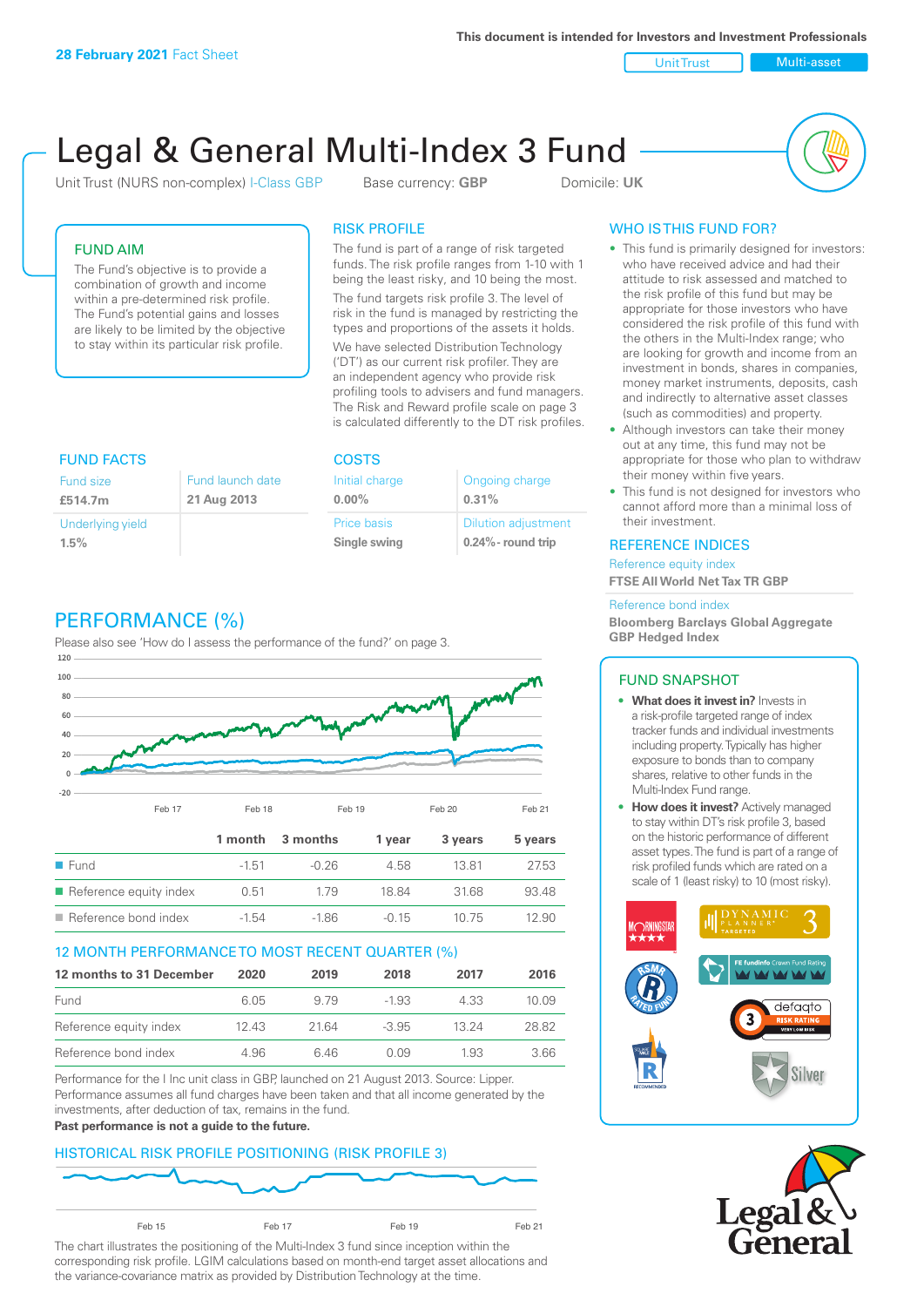**This document is intended for Investors and Investment Professionals**

Unit Trust Nulti-asset

# Legal & General Multi-Index 3 Fund

Unit Trust (NURS non-complex) I-Class GBP Base currency: **GBP** Domicile: UK



### FUND AIM

The Fund's objective is to provide a combination of growth and income within a pre-determined risk profile. The Fund's potential gains and losses are likely to be limited by the objective to stay within its particular risk profile.

#### RISK PROFILE

The fund is part of a range of risk targeted funds. The risk profile ranges from 1-10 with 1 being the least risky, and 10 being the most.

The fund targets risk profile 3. The level of risk in the fund is managed by restricting the types and proportions of the assets it holds. We have selected Distribution Technology ('DT') as our current risk profiler. They are an independent agency who provide risk profiling tools to advisers and fund managers. The Risk and Reward profile scale on page 3 is calculated differently to the DT risk profiles.

| <b>FUND FACTS</b> |                  | <b>COSTS</b>   |                            |  |
|-------------------|------------------|----------------|----------------------------|--|
| <b>Fund size</b>  | Fund launch date | Initial charge | Ongoing charge             |  |
| £514.7m           | 21 Aug 2013      | $0.00\%$       | 0.31%                      |  |
| Underlying yield  |                  | Price basis    | <b>Dilution adjustment</b> |  |
| 1.5%              |                  | Single swing   | $0.24\%$ - round trip      |  |

# PERFORMANCE (%)

Please also see 'How do I assess the performance of the fund?' on page 3.



#### 12 MONTH PERFORMANCE TO MOST RECENT QUARTER (%)

| 12 months to 31 December | 2020 | 2019  | 2018    | 2017  | 2016  |
|--------------------------|------|-------|---------|-------|-------|
| Fund                     | 6.05 | 9.79  | -1.93   | 4.33  | 10.09 |
| Reference equity index   | 1243 | 21.64 | $-3.95$ | 13 24 | 28.82 |
| Reference bond index     | 4.96 | 646   | O O.9   | 1.93  | 3.66  |

Performance for the I Inc unit class in GBP, launched on 21 August 2013. Source: Lipper. Performance assumes all fund charges have been taken and that all income generated by the investments, after deduction of tax, remains in the fund.

#### **Past performance is not a guide to the future.**

# HISTORICAL RISK PROFILE POSITIONING (RISK PROFILE 3)



The chart illustrates the positioning of the Multi-Index 3 fund since inception within the corresponding risk profile. LGIM calculations based on month-end target asset allocations and the variance-covariance matrix as provided by Distribution Technology at the time.

# WHO IS THIS FUND FOR?

- This fund is primarily designed for investors: who have received advice and had their attitude to risk assessed and matched to the risk profile of this fund but may be appropriate for those investors who have considered the risk profile of this fund with the others in the Multi-Index range; who are looking for growth and income from an investment in bonds, shares in companies, money market instruments, deposits, cash and indirectly to alternative asset classes (such as commodities) and property.
- Although investors can take their money out at any time, this fund may not be appropriate for those who plan to withdraw their money within five years.
- This fund is not designed for investors who cannot afford more than a minimal loss of their investment.

#### REFERENCE INDICES

Reference equity index **FTSE All World Net Tax TR GBP**

#### Reference bond index

**Bloomberg Barclays Global Aggregate GBP Hedged Index**

#### FUND SNAPSHOT

- **• What does it invest in?** Invests in a risk-profile targeted range of index tracker funds and individual investments including property. Typically has higher exposure to bonds than to company shares, relative to other funds in the Multi-Index Fund range.
- **• How does it invest?** Actively managed to stay within DT's risk profile 3, based on the historic performance of different asset types. The fund is part of a range of risk profiled funds which are rated on a scale of 1 (least risky) to 10 (most risky).



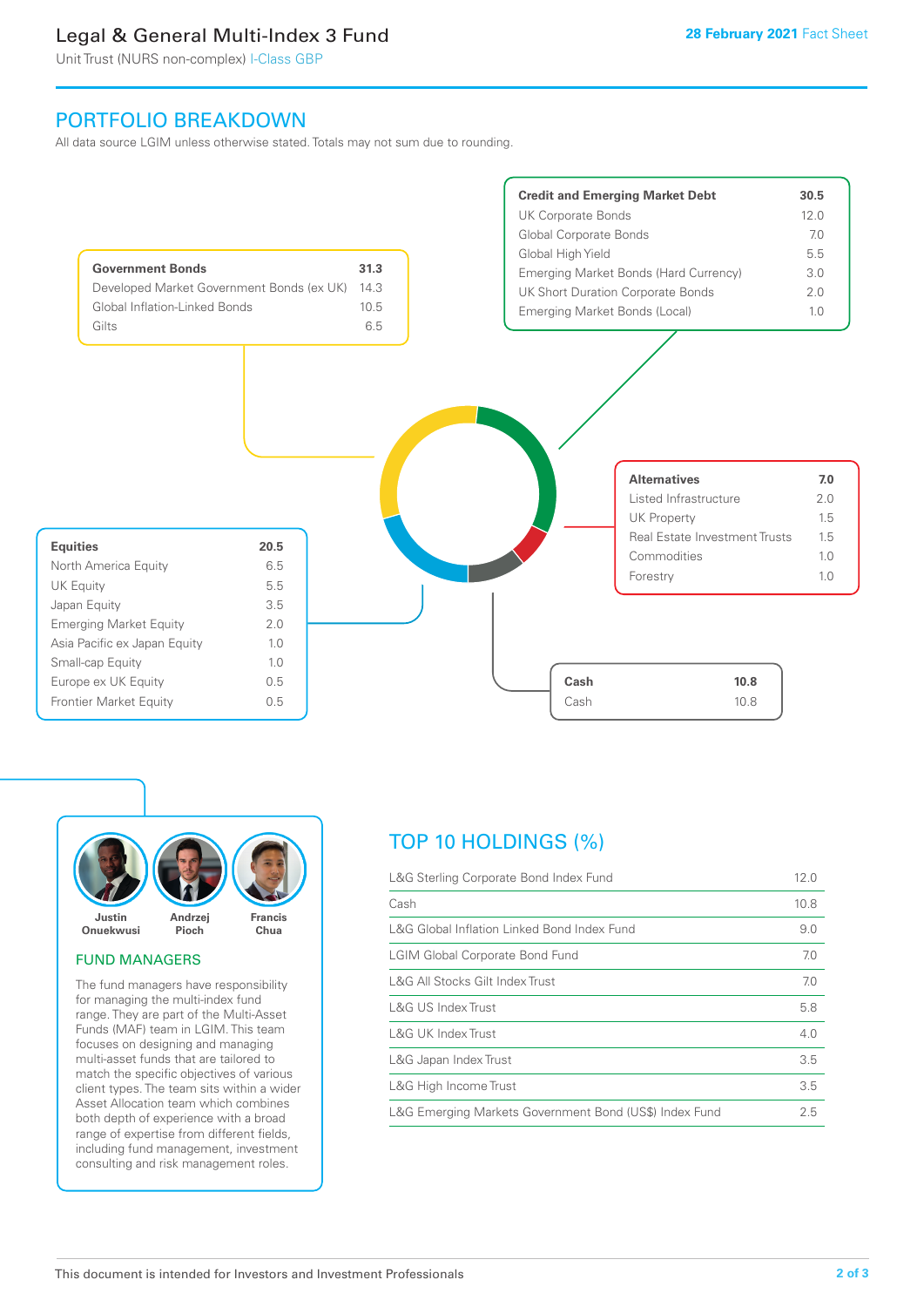# Legal & General Multi-Index 3 Fund

Unit Trust (NURS non-complex) I-Class GBP

# PORTFOLIO BREAKDOWN

All data source LGIM unless otherwise stated. Totals may not sum due to rounding.





#### FUND MANAGERS

The fund managers have responsibility for managing the multi-index fund range. They are part of the Multi-Asset Funds (MAF) team in LGIM. This team focuses on designing and managing multi-asset funds that are tailored to match the specific objectives of various client types. The team sits within a wider Asset Allocation team which combines both depth of experience with a broad range of expertise from different fields, including fund management, investment consulting and risk management roles.

# TOP 10 HOLDINGS (%)

| L&G Sterling Corporate Bond Index Fund                 | 12.0 |
|--------------------------------------------------------|------|
| Cash                                                   | 10.8 |
| L&G Global Inflation Linked Bond Index Fund            | 9.0  |
| <b>LGIM Global Corporate Bond Fund</b>                 | 7.0  |
| L&G All Stocks Gilt Index Trust                        | 7.0  |
| L&G US Index Trust                                     | 5.8  |
| <b>L&amp;G UK Index Trust</b>                          | 4.0  |
| L&G Japan Index Trust                                  | 3.5  |
| L&G High Income Trust                                  | 3.5  |
| L&G Emerging Markets Government Bond (US\$) Index Fund | 2.5  |